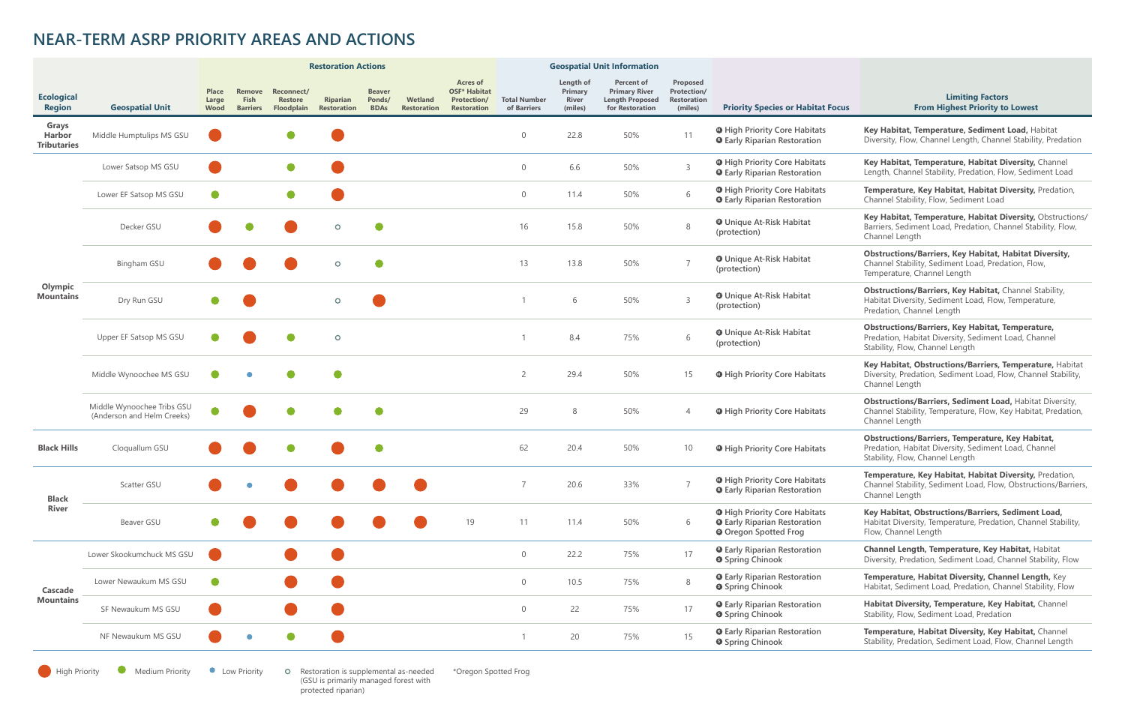|                                       |                                                          | <b>Restoration Actions</b>    |                                          |                                            |                                       |                                        |                               |                                                                                    | <b>Geospatial Unit Information</b> |                                                 |                                                                                        |                                                          |                                                                                                             |                                                                                                                                                    |
|---------------------------------------|----------------------------------------------------------|-------------------------------|------------------------------------------|--------------------------------------------|---------------------------------------|----------------------------------------|-------------------------------|------------------------------------------------------------------------------------|------------------------------------|-------------------------------------------------|----------------------------------------------------------------------------------------|----------------------------------------------------------|-------------------------------------------------------------------------------------------------------------|----------------------------------------------------------------------------------------------------------------------------------------------------|
| <b>Ecological</b><br><b>Region</b>    | <b>Geospatial Unit</b>                                   | <b>Place</b><br>Large<br>Wood | Remove<br><b>Fish</b><br><b>Barriers</b> | Reconnect/<br><b>Restore</b><br>Floodplain | <b>Riparian</b><br><b>Restoration</b> | <b>Beaver</b><br>Ponds/<br><b>BDAs</b> | Wetland<br><b>Restoration</b> | <b>Acres of</b><br><b>OSF* Habitat</b><br><b>Protection/</b><br><b>Restoration</b> | <b>Total Number</b><br>of Barriers | Length of<br>Primary<br><b>River</b><br>(miles) | <b>Percent of</b><br><b>Primary River</b><br><b>Length Proposed</b><br>for Restoration | Proposed<br>Protection/<br><b>Restoration</b><br>(miles) | <b>Priority Species or Habitat Focus</b>                                                                    | <b>Limiting Factors</b><br><b>From Highest Priority to Lowest</b>                                                                                  |
| Grays<br>Harbor<br><b>Tributaries</b> | Middle Humptulips MS GSU                                 |                               |                                          |                                            |                                       |                                        |                               |                                                                                    | $\Omega$                           | 22.8                                            | 50%                                                                                    | 11                                                       | <b>O</b> High Priority Core Habitats<br><b>O</b> Early Riparian Restoration                                 | Key Habitat, Temperature, Sediment Load, Habitat<br>Diversity, Flow, Channel Length, Channel Stability, Predation                                  |
| Olympic<br><b>Mountains</b>           | Lower Satsop MS GSU                                      |                               |                                          |                                            |                                       |                                        |                               |                                                                                    | $\Omega$                           | 6.6                                             | 50%                                                                                    | $\overline{3}$                                           | <b>O</b> High Priority Core Habitats<br><b>O</b> Early Riparian Restoration                                 | Key Habitat, Temperature, Habitat Diversity, Channel<br>Length, Channel Stability, Predation, Flow, Sediment Load                                  |
|                                       | Lower EF Satsop MS GSU                                   |                               |                                          | $\bullet$                                  |                                       |                                        |                               |                                                                                    | $\Omega$                           | 11.4                                            | 50%                                                                                    | 6                                                        | <b>O</b> High Priority Core Habitats<br><b>O</b> Early Riparian Restoration                                 | Temperature, Key Habitat, Habitat Diversity, Predation,<br>Channel Stability, Flow, Sediment Load                                                  |
|                                       | Decker GSU                                               |                               |                                          |                                            | $\circ$                               | $\bullet$                              |                               |                                                                                    | 16                                 | 15.8                                            | 50%                                                                                    | 8                                                        | <b>O</b> Unique At-Risk Habitat<br>(protection)                                                             | Key Habitat, Temperature, Habitat Diversity, Obstructions/<br>Barriers, Sediment Load, Predation, Channel Stability, Flow,<br>Channel Length       |
|                                       | <b>Bingham GSU</b>                                       |                               |                                          |                                            | $\circ$                               | $\bullet$                              |                               |                                                                                    | 13                                 | 13.8                                            | 50%                                                                                    |                                                          | <b>O</b> Unique At-Risk Habitat<br>(protection)                                                             | <b>Obstructions/Barriers, Key Habitat, Habitat Diversity,</b><br>Channel Stability, Sediment Load, Predation, Flow,<br>Temperature, Channel Length |
|                                       | Dry Run GSU                                              |                               |                                          |                                            | $\circ$                               |                                        |                               |                                                                                    |                                    | 6                                               | 50%                                                                                    | $\overline{3}$                                           | <b>O</b> Unique At-Risk Habitat<br>(protection)                                                             | Obstructions/Barriers, Key Habitat, Channel Stability,<br>Habitat Diversity, Sediment Load, Flow, Temperature,<br>Predation, Channel Length        |
|                                       | Upper EF Satsop MS GSU                                   |                               |                                          |                                            | $\circ$                               |                                        |                               |                                                                                    |                                    | 8.4                                             | 75%                                                                                    | 6                                                        | <b>O</b> Unique At-Risk Habitat<br>(protection)                                                             | <b>Obstructions/Barriers, Key Habitat, Temperature,</b><br>Predation, Habitat Diversity, Sediment Load, Channel<br>Stability, Flow, Channel Length |
|                                       | Middle Wynoochee MS GSU                                  |                               |                                          |                                            | $\bullet$                             |                                        |                               |                                                                                    | $\overline{2}$                     | 29.4                                            | 50%                                                                                    | 15                                                       | <b>O</b> High Priority Core Habitats                                                                        | Key Habitat, Obstructions/Barriers, Temperature, Habitat<br>Diversity, Predation, Sediment Load, Flow, Channel Stability,<br>Channel Length        |
|                                       | Middle Wynoochee Tribs GSU<br>(Anderson and Helm Creeks) |                               |                                          |                                            |                                       |                                        |                               |                                                                                    | 29                                 | 8                                               | 50%                                                                                    |                                                          | <b>O</b> High Priority Core Habitats                                                                        | <b>Obstructions/Barriers, Sediment Load, Habitat Diversity,</b><br>Channel Stability, Temperature, Flow, Key Habitat, Predation,<br>Channel Length |
| <b>Black Hills</b>                    | Cloquallum GSU                                           |                               |                                          |                                            |                                       |                                        |                               |                                                                                    | 62                                 | 20.4                                            | 50%                                                                                    | 10                                                       | <b>O</b> High Priority Core Habitats                                                                        | <b>Obstructions/Barriers, Temperature, Key Habitat,</b><br>Predation, Habitat Diversity, Sediment Load, Channel<br>Stability, Flow, Channel Length |
| <b>Black</b><br><b>River</b>          | Scatter GSU                                              |                               |                                          |                                            |                                       |                                        |                               |                                                                                    |                                    | 20.6                                            | 33%                                                                                    |                                                          | <b>O</b> High Priority Core Habitats<br><b>Q</b> Early Riparian Restoration                                 | Temperature, Key Habitat, Habitat Diversity, Predation,<br>Channel Stability, Sediment Load, Flow, Obstructions/Barriers,<br>Channel Length        |
|                                       | Beaver GSU                                               |                               |                                          |                                            |                                       |                                        |                               | 19                                                                                 | 11                                 | 11.4                                            | 50%                                                                                    | 6                                                        | <b>O</b> High Priority Core Habitats<br><b>O</b> Early Riparian Restoration<br><b>O</b> Oregon Spotted Frog | Key Habitat, Obstructions/Barriers, Sediment Load,<br>Habitat Diversity, Temperature, Predation, Channel Stability,<br>Flow, Channel Length        |
| Cascade<br><b>Mountains</b>           | Lower Skookumchuck MS GSU                                |                               |                                          |                                            |                                       |                                        |                               |                                                                                    | $\overline{0}$                     | 22.2                                            | 75%                                                                                    | 17                                                       | <b>O</b> Early Riparian Restoration<br><b>O</b> Spring Chinook                                              | Channel Length, Temperature, Key Habitat, Habitat<br>Diversity, Predation, Sediment Load, Channel Stability, Flow                                  |
|                                       | Lower Newaukum MS GSU                                    | $\bullet$                     |                                          |                                            |                                       |                                        |                               |                                                                                    | $\Omega$                           | 10.5                                            | 75%                                                                                    | 8                                                        | <b>O</b> Early Riparian Restoration<br><b>Spring Chinook</b>                                                | Temperature, Habitat Diversity, Channel Length, Key<br>Habitat, Sediment Load, Predation, Channel Stability, Flow                                  |
|                                       | SF Newaukum MS GSU                                       |                               |                                          |                                            |                                       |                                        |                               |                                                                                    | $\overline{0}$                     | 22                                              | 75%                                                                                    | 17                                                       | <b>O</b> Early Riparian Restoration<br><b>O</b> Spring Chinook                                              | Habitat Diversity, Temperature, Key Habitat, Channel<br>Stability, Flow, Sediment Load, Predation                                                  |
|                                       | NF Newaukum MS GSU                                       |                               |                                          |                                            |                                       |                                        |                               |                                                                                    |                                    | 20                                              | 75%                                                                                    | 15                                                       | <b>O</b> Early Riparian Restoration<br><b>O</b> Spring Chinook                                              | Temperature, Habitat Diversity, Key Habitat, Channel<br>Stability, Predation, Sediment Load, Flow, Channel Length                                  |

**Medium Priority Medium Priority Company** Restoration is supplemental assets the Restoration is supplemental assumed to  $\blacksquare$ 

O Restoration is supplemental as-needed<br>(GSU is primarily managed forest with protected riparian)

## **NEAR-TERM ASRP PRIORITY AREAS AND ACTIONS**

\*Oregon Spotted Frog